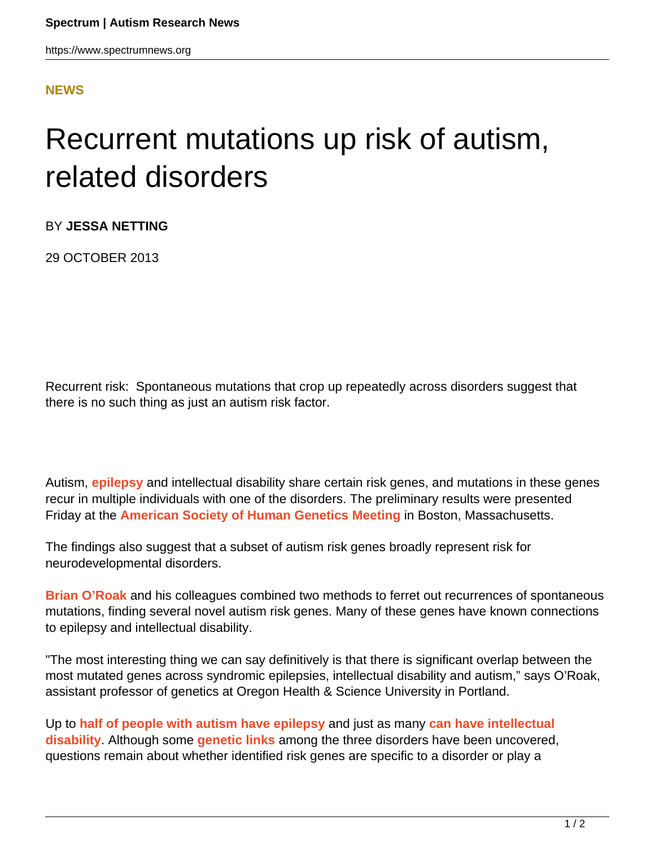https://www.spectrumnews.org

## **[NEWS](HTTPS://WWW.SPECTRUMNEWS.ORG/NEWS/)**

## Recurrent mutations up risk of autism, related disorders

BY **JESSA NETTING**

29 OCTOBER 2013

Recurrent risk: Spontaneous mutations that crop up repeatedly across disorders suggest that there is no such thing as just an autism risk factor.

Autism, **[epilepsy](https://www.spectrumnews.org/wiki/epilepsy)** and intellectual disability share certain risk genes, and mutations in these genes recur in multiple individuals with one of the disorders. The preliminary results were presented Friday at the **[American Society of Human Genetics Meeting](https://www.spectrumnews.org/conference-news/2013/american-society-of-human-genetics-meeting-2013/)** in Boston, Massachusetts.

The findings also suggest that a subset of autism risk genes broadly represent risk for neurodevelopmental disorders.

**[Brian O'Roak](http://www.ohsu.edu/xd/education/schools/school-of-medicine/about/school-of-medicine-news/education-news/new-faculty-92613.cfm)** and his colleagues combined two methods to ferret out recurrences of spontaneous mutations, finding several novel autism risk genes. Many of these genes have known connections to epilepsy and intellectual disability.

"The most interesting thing we can say definitively is that there is significant overlap between the most mutated genes across syndromic epilepsies, intellectual disability and autism," says O'Roak, assistant professor of genetics at Oregon Health & Science University in Portland.

Up to **[half of people with autism have epilepsy](https://www.spectrumnews.org/news/2011/scientists-probe-puzzling-overlap-of-epilepsy-and-autism)** and just as many **[can have intellectual](https://www.spectrumnews.org/in-brief/2013/genetics-intellectual-disability-traced-to-new-mutations) [disability](https://www.spectrumnews.org/in-brief/2013/genetics-intellectual-disability-traced-to-new-mutations)**. Although some **[genetic links](https://www.spectrumnews.org/in-brief/2012/genetics-rare-epilepsy-syndromes-share-autism-mutations)** among the three disorders have been uncovered, questions remain about whether identified risk genes are specific to a disorder or play a